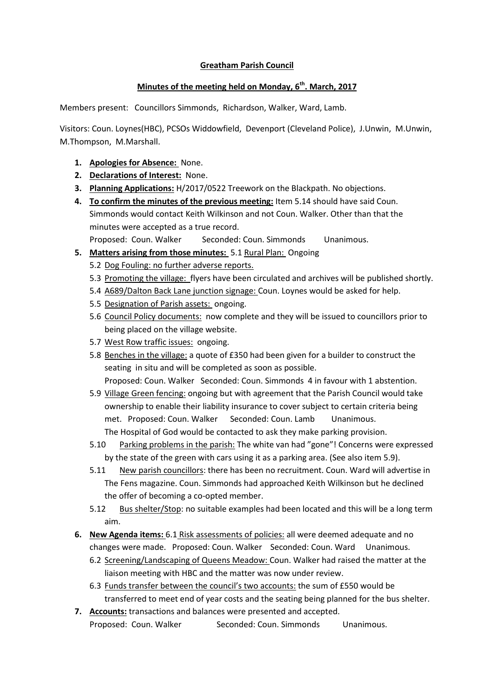## **Greatham Parish Council**

## **Minutes of the meeting held on Monday, 6th. March, 2017**

Members present: Councillors Simmonds, Richardson, Walker, Ward, Lamb.

Visitors: Coun. Loynes(HBC), PCSOs Widdowfield, Devenport (Cleveland Police), J.Unwin, M.Unwin, M.Thompson, M.Marshall.

- **1. Apologies for Absence:** None.
- **2. Declarations of Interest:** None.
- **3. Planning Applications:** H/2017/0522 Treework on the Blackpath. No objections.
- **4. To confirm the minutes of the previous meeting:** Item 5.14 should have said Coun. Simmonds would contact Keith Wilkinson and not Coun. Walker. Other than that the minutes were accepted as a true record.

Proposed: Coun. Walker Seconded: Coun. Simmonds Unanimous.

- **5. Matters arising from those minutes:** 5.1 Rural Plan: Ongoing
	- 5.2 Dog Fouling: no further adverse reports.
	- 5.3 Promoting the village: flyers have been circulated and archives will be published shortly.
	- 5.4 A689/Dalton Back Lane junction signage: Coun. Loynes would be asked for help.
	- 5.5 Designation of Parish assets: ongoing.
	- 5.6 Council Policy documents: now complete and they will be issued to councillors prior to being placed on the village website.
	- 5.7 West Row traffic issues: ongoing.
	- 5.8 Benches in the village: a quote of £350 had been given for a builder to construct the seating in situ and will be completed as soon as possible. Proposed: Coun. Walker Seconded: Coun. Simmonds 4 in favour with 1 abstention.
	- 5.9 Village Green fencing: ongoing but with agreement that the Parish Council would take ownership to enable their liability insurance to cover subject to certain criteria being met. Proposed: Coun. Walker Seconded: Coun. Lamb Unanimous. The Hospital of God would be contacted to ask they make parking provision.
	- 5.10 Parking problems in the parish: The white van had "gone"! Concerns were expressed by the state of the green with cars using it as a parking area. (See also item 5.9).
	- 5.11 New parish councillors: there has been no recruitment. Coun. Ward will advertise in The Fens magazine. Coun. Simmonds had approached Keith Wilkinson but he declined the offer of becoming a co-opted member.
	- 5.12 Bus shelter/Stop: no suitable examples had been located and this will be a long term aim.
- **6. New Agenda items:** 6.1 Risk assessments of policies: all were deemed adequate and no changes were made. Proposed: Coun. Walker Seconded: Coun. Ward Unanimous.
	- 6.2 Screening/Landscaping of Queens Meadow: Coun. Walker had raised the matter at the liaison meeting with HBC and the matter was now under review.
	- 6.3 Funds transfer between the council's two accounts: the sum of £550 would be transferred to meet end of year costs and the seating being planned for the bus shelter.
- **7. Accounts:** transactions and balances were presented and accepted. Proposed: Coun. Walker Seconded: Coun. Simmonds Unanimous.